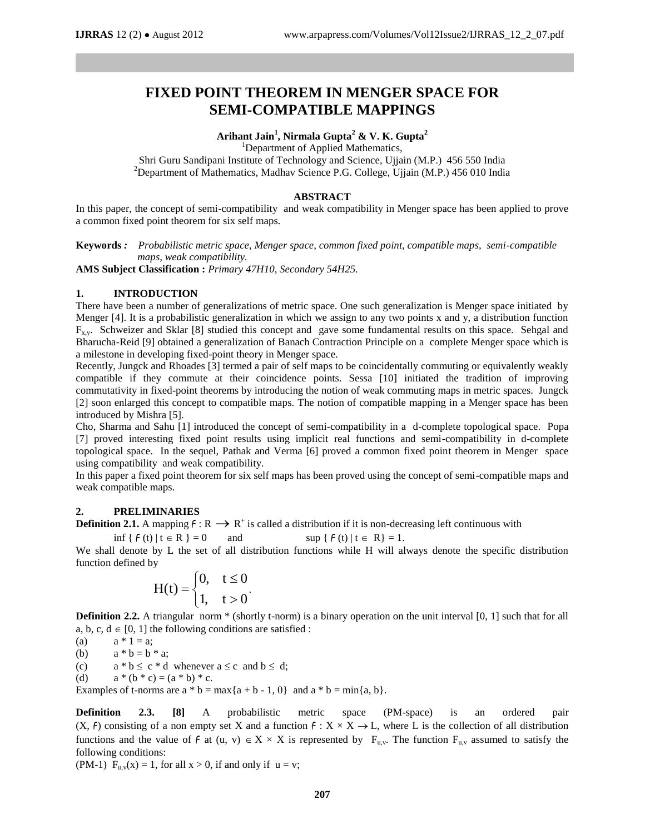# **FIXED POINT THEOREM IN MENGER SPACE FOR SEMI-COMPATIBLE MAPPINGS**

## **Arihant Jain<sup>1</sup> , Nirmala Gupta<sup>2</sup> & V. K. Gupta<sup>2</sup>**

<sup>1</sup>Department of Applied Mathematics,

Shri Guru Sandipani Institute of Technology and Science, Ujjain (M.P.) 456 550 India <sup>2</sup>Department of Mathematics, Madhav Science P.G. College, Ujjain (M.P.) 456 010 India

## **ABSTRACT**

In this paper, the concept of semi-compatibility and weak compatibility in Menger space has been applied to prove a common fixed point theorem for six self maps.

**Keywords** *: Probabilistic metric space, Menger space, common fixed point, compatible maps, semi-compatible maps, weak compatibility.* 

**AMS Subject Classification :** *Primary 47H10, Secondary 54H25.*

## **1. INTRODUCTION**

There have been a number of generalizations of metric space. One such generalization is Menger space initiated by Menger [4]. It is a probabilistic generalization in which we assign to any two points x and y, a distribution function  $F_{x,y}$ . Schweizer and Sklar [8] studied this concept and gave some fundamental results on this space. Sehgal and Bharucha-Reid [9] obtained a generalization of Banach Contraction Principle on a complete Menger space which is a milestone in developing fixed-point theory in Menger space.

Recently, Jungck and Rhoades [3] termed a pair of self maps to be coincidentally commuting or equivalently weakly compatible if they commute at their coincidence points. Sessa [10] initiated the tradition of improving commutativity in fixed-point theorems by introducing the notion of weak commuting maps in metric spaces. Jungck [2] soon enlarged this concept to compatible maps. The notion of compatible mapping in a Menger space has been introduced by Mishra [5].

Cho, Sharma and Sahu [1] introduced the concept of semi-compatibility in a d-complete topological space. Popa [7] proved interesting fixed point results using implicit real functions and semi-compatibility in d-complete topological space. In the sequel, Pathak and Verma [6] proved a common fixed point theorem in Menger space using compatibility and weak compatibility.

In this paper a fixed point theorem for six self maps has been proved using the concept of semi-compatible maps and weak compatible maps.

## **2. PRELIMINARIES**

**Definition 2.1.** A mapping  $f: \mathbb{R} \to \mathbb{R}^+$  is called a distribution if it is non-decreasing left continuous with

$$
\inf \{ f(t) \, | \, t \in R \} = 0 \qquad \text{and} \qquad \qquad \sup \{ f(t) \, | \, t \in R \} = 1.
$$

We shall denote by L the set of all distribution functions while H will always denote the specific distribution function defined by

$$
H(t) = \begin{cases} 0, & t \leq 0 \\ 1, & t > 0 \end{cases}.
$$

**Definition 2.2.** A triangular norm \* (shortly t-norm) is a binary operation on the unit interval [0, 1] such that for all a, b, c,  $d \in [0, 1]$  the following conditions are satisfied :

(a)  $a * 1 = a$ ;

(b)  $a * b = b * a;$ 

(c)  $a * b \le c * d$  whenever  $a \le c$  and  $b \le d$ ;

(d)  $a * (b * c) = (a * b) * c$ .

Examples of t-norms are  $a * b = max\{a + b - 1, 0\}$  and  $a * b = min\{a, b\}$ .

**Definition 2.3. [8]** A probabilistic metric space (PM-space) is an ordered pair  $(X, f)$  consisting of a non empty set X and a function  $f: X \times X \to L$ , where L is the collection of all distribution functions and the value of  $f$  at  $(u, v) \in X \times X$  is represented by  $F_{u,v}$ . The function  $F_{u,v}$  assumed to satisfy the following conditions:

(PM-1)  $F_{u,v}(x) = 1$ , for all  $x > 0$ , if and only if  $u = v$ ;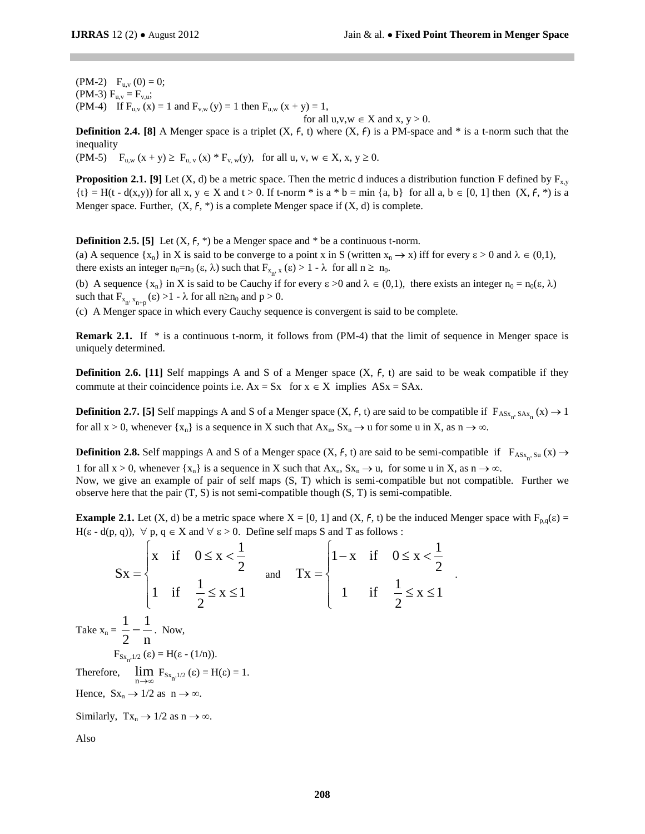.

 $(PM-2)$   $F_{u,v}(0) = 0;$ (PM-3)  $F_{u.v} = F_{v.u};$ (PM-4) If  $F_{u,v}(x) = 1$  and  $F_{v,w}(y) = 1$  then  $F_{u,w}(x + y) = 1$ ,

for all 
$$
u, v, w \in X
$$
 and  $x, y > 0$ .

**Definition 2.4. [8]** A Menger space is a triplet  $(X, f, t)$  where  $(X, f)$  is a PM-space and  $*$  is a t-norm such that the inequality

 $(PM-5)$   $F_{u,w} (x + y) \ge F_{u,v} (x) * F_{v,w}(y)$ , for all u, v,  $w \in X$ ,  $x, y \ge 0$ .

**Proposition 2.1. [9]** Let (X, d) be a metric space. Then the metric d induces a distribution function F defined by  $F_{x,y}$  $\{t\} = H(t - d(x,y))$  for all x,  $y \in X$  and  $t > 0$ . If t-norm \* is a \* b = min {a, b} for all a, b  $\in [0, 1]$  then  $(X, f, *)$  is a Menger space. Further,  $(X, f, *)$  is a complete Menger space if  $(X, d)$  is complete.

**Definition 2.5. [5]** Let  $(X, f, *)$  be a Menger space and  $*$  be a continuous t-norm.

(a) A sequence  $\{x_n\}$  in X is said to be converge to a point x in S (written  $x_n \to x$ ) iff for every  $\varepsilon > 0$  and  $\lambda \in (0,1)$ , there exists an integer  $n_0 = n_0 (\epsilon, \lambda)$  such that  $F_{x_n, x} (\epsilon) > 1 - \lambda$  for all  $n \ge n_0$ .

(b) A sequence  $\{x_n\}$  in X is said to be Cauchy if for every  $\varepsilon > 0$  and  $\lambda \in (0,1)$ , there exists an integer  $n_0 = n_0(\varepsilon, \lambda)$ such that  $F_{x_n, x_{n+p}}(\epsilon) > 1 - \lambda$  for all  $n \ge n_0$  and  $p > 0$ .

(c) A Menger space in which every Cauchy sequence is convergent is said to be complete.

**Remark 2.1.** If \* is a continuous t-norm, it follows from (PM-4) that the limit of sequence in Menger space is uniquely determined.

**Definition 2.6.** [11] Self mappings A and S of a Menger space  $(X, f, t)$  are said to be weak compatible if they commute at their coincidence points i.e.  $Ax = Sx$  for  $x \in X$  implies  $ASx = SAx$ .

**Definition 2.7.** [5] Self mappings A and S of a Menger space  $(X, f, t)$  are said to be compatible if  $F_{ASx_n, SAx_n}(x) \to 1$ for all  $x > 0$ , whenever  $\{x_n\}$  is a sequence in X such that  $Ax_n$ ,  $Sx_n \to u$  for some u in X, as  $n \to \infty$ .

**Definition 2.8.** Self mappings A and S of a Menger space  $(X, f, t)$  are said to be semi-compatible if  $F_{ASx_n, Su}(x) \rightarrow$ 1 for all  $x > 0$ , whenever  $\{x_n\}$  is a sequence in X such that  $Ax_n$ ,  $Sx_n \to u$ , for some u in X, as  $n \to \infty$ .

Now, we give an example of pair of self maps (S, T) which is semi-compatible but not compatible. Further we observe here that the pair  $(T, S)$  is not semi-compatible though  $(S, T)$  is semi-compatible.

**Example 2.1.** Let (X, d) be a metric space where  $X = [0, 1]$  and (X, f, t) be the induced Menger space with  $F_{p,q}(\varepsilon) =$  $H(\varepsilon - d(p, q))$ ,  $\forall p, q \in X$  and  $\forall \varepsilon > 0$ . Define self maps S and T as follows :

x if  $0 \le x < \frac{1}{2}$  $Sx = \begin{cases} 2 & 2 \end{cases}$ 1 if  $\frac{1}{2} \le x \le 1$ 2  $\begin{cases} x & \text{if} \quad 0 \leq x < \frac{1}{2} \end{cases}$  $=\{$  $\begin{cases} 1 & \text{if } \frac{1}{2} \leq x \leq 1 \end{cases}$  and  $\text{Tx} = \begin{cases} 1 - x & \text{if } 0 \leq x < \frac{1}{2} \end{cases}$ 1 if  $\frac{1}{2} \le x \le 1$  $\begin{cases} 1-x & \text{if } 0 \leq x < \frac{1}{2} \end{cases}$  $=\begin{cases} 1 & \text{if } \frac{1}{2} \leq x \leq 1 \end{cases}$ Take  $x_n =$ 1 1 2 n  $-\frac{1}{\pi}$ . Now,  $F_{S_{x_n},1/2} (\varepsilon) = H(\varepsilon - (1/n)).$ Therefore,  $\lim_{n \to \infty} F_{Sx_n, 1/2} (\varepsilon) = H(\varepsilon) = 1.$ Hence,  $Sx_n \to 1/2$  as  $n \to \infty$ . Similarly,  $Tx_n \to 1/2$  as  $n \to \infty$ . Also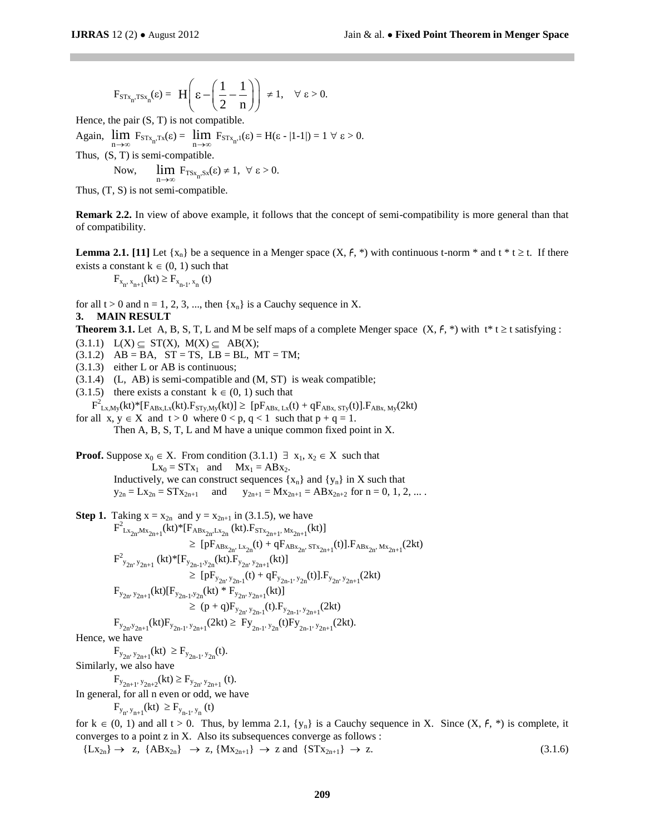$$
F_{STx_n,TSx_n}(\epsilon) = \ H\Bigg(\epsilon - \Bigg(\frac{1}{2}-\frac{1}{n}\Bigg)\Bigg) \ \neq 1, \quad \forall \ \epsilon > 0.
$$

Hence, the pair  $(S, T)$  is not compatible.

Again,  $\lim_{n \to \infty} F_{STx_n, Tx}(\varepsilon) = \lim_{n \to \infty} F_{STx_n,1}(\varepsilon) = H(\varepsilon - |1-1|) = 1 \ \forall \ \varepsilon > 0.$ 

Thus, (S, T) is semi-compatible.

Now, 
$$
\lim_{n \to \infty} F_{T S x_n, S x}(\epsilon) \neq 1, \ \forall \ \epsilon > 0.
$$

Thus, (T, S) is not semi-compatible.

**Remark 2.2.** In view of above example, it follows that the concept of semi-compatibility is more general than that of compatibility.

**Lemma 2.1.** [11] Let  $\{x_n\}$  be a sequence in a Menger space  $(X, f, *)$  with continuous t-norm \* and t \* t  $\geq$  t. If there exists a constant  $k \in (0, 1)$  such that

$$
F_{x_n, x_{n+1}}(kt) \ge F_{x_{n-1}, x_n}(t)
$$

for all  $t > 0$  and  $n = 1, 2, 3, \dots$ , then  $\{x_n\}$  is a Cauchy sequence in X.

### **3. MAIN RESULT**

**Theorem 3.1.** Let A, B, S, T, L and M be self maps of a complete Menger space  $(X, f, *)$  with  $t * t \ge t$  satisfying :

- $(3.1.1)$   $L(X) \subseteq ST(X)$ ,  $M(X) \subseteq AB(X)$ ;
- $(3.1.2)$  AB = BA, ST = TS, LB = BL, MT = TM;
- (3.1.3) either L or AB is continuous;

(3.1.4) (L, AB) is semi-compatible and (M, ST) is weak compatible;

(3.1.5) there exists a constant  $k \in (0, 1)$  such that

$$
{F^2}_{Lx,My}(kt)^*[F_{ABx,Lx}(kt).F_{STy,My}(kt)] \geq \text{ } [pF_{ABx,\,Lx}(t)+qF_{ABx,\,STy}(t)].F_{ABx,\,My}(2kt)
$$

for all  $x, y \in X$  and  $t > 0$  where  $0 < p, q < 1$  such that  $p + q = 1$ . Then A, B, S, T, L and M have a unique common fixed point in X.

**Proof.** Suppose 
$$
x_0 \in X
$$
. From condition (3.1.1)  $\exists x_1, x_2 \in X$  such that  $Lx_0 = STx_1$  and  $Mx_1 = ABx_2$ . Inductively, we can construct sequences  $\{x_n\}$  and  $\{y_n\}$  in X such that  $y_{2n} = Lx_{2n} = STx_{2n+1}$  and  $y_{2n+1} = Mx_{2n+1} = ABx_{2n+2}$  for  $n = 0, 1, 2, \ldots$ .

Step 1. Taking 
$$
x = x_{2n}
$$
 and  $y = x_{2n+1}$  in (3.1.5), we have  
\n
$$
F^{2}_{Lx_{2n}Mx_{2n+1}}(kt)^{*}[F_{ABx_{2n}Lx_{2n}}(kt).F_{STx_{2n+1}},Mx_{2n+1}(kt)]
$$
\n
$$
\geq [pF_{ABx_{2n}Lx_{2n}}(t) + qF_{ABx_{2n}STx_{2n+1}}(t)].F_{ABx_{2n}Mx_{2n+1}}(2kt)
$$
\n
$$
F^{2}_{y_{2n},y_{2n+1}}(kt)^{*}[F_{y_{2n-1},y_{2n}}(kt).F_{y_{2n},y_{2n+1}}(kt)]
$$
\n
$$
\geq [pF_{y_{2n},y_{2n-1}}(t) + qF_{y_{2n-1},y_{2n}}(t)].F_{y_{2n},y_{2n+1}}(2kt)
$$
\n
$$
F_{y_{2n},y_{2n+1}}(kt)[F_{y_{2n-1},y_{2n}}(kt)^{*}F_{y_{2n}y_{2n+1}}(kt)]
$$
\n
$$
\geq (p+q)F_{y_{2n},y_{2n-1}}(t).F_{y_{2n-1},y_{2n+1}}(2kt)
$$
\n
$$
F_{y_{2n},y_{2n+1}}(kt)F_{y_{2n-1},y_{2n+1}}(2kt) \geq F_{y_{2n-1},y_{2n}}(t)F_{y_{2n-1},y_{2n+1}}(2kt).
$$

Hence, we have

 $F_{y_{2n}, y_{2n+1}}(kt) \geq F_{y_{2n-1}, y_{2n}}(t).$ Similarly, we also have

 $F_{y_{2n+1}, y_{2n+2}}(kt) \ge F_{y_{2n}, y_{2n+1}}(t).$ 

In general, for all n even or odd, we have

 $F_{y_n, y_{n+1}}(kt) \ge F_{y_{n-1}, y_n}(t)$ 

for  $k \in (0, 1)$  and all t > 0. Thus, by lemma 2.1,  $\{y_n\}$  is a Cauchy sequence in X. Since  $(X, f, *)$  is complete, it converges to a point z in X. Also its subsequences converge as follows :

$$
\{Lx_{2n}\}\rightarrow z,\ \{ABx_{2n}\}\rightarrow z,\ \{Mx_{2n+1}\}\rightarrow z\ \text{and}\ \{STx_{2n+1}\}\rightarrow z.\tag{3.1.6}
$$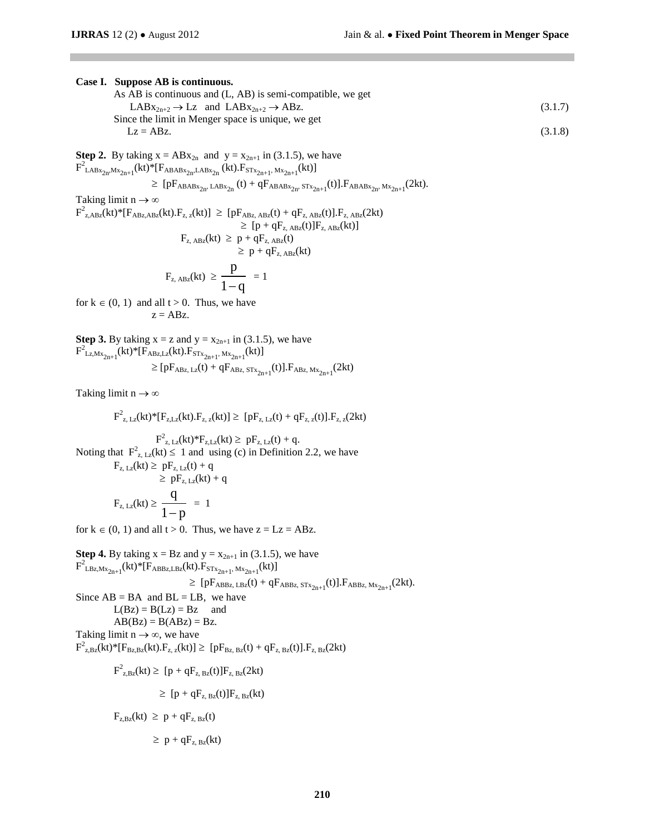### **Case I. Suppose AB is continuous.**

| As AB is continuous and (L, AB) is semi-compatible, we get       |         |
|------------------------------------------------------------------|---------|
| $LABx_{2n+2} \rightarrow Lz$ and $LABx_{2n+2} \rightarrow ABz$ . | (3.1.7) |
| Since the limit in Menger space is unique, we get                |         |
| $Lz = ABz$                                                       | (3.1.8) |

**Step 2.** By taking  $x = ABx_{2n}$  and  $y = x_{2n+1}$  in (3.1.5), we have  $F^2_{\text{LABx}_{2n},\text{Mx}_{2n+1}}(\text{kt})^*$  [F<sub>ABABx<sub>2n</sub>, LABx<sub>2n</sub> (kt). F<sub>STx<sub>2n+1</sub>, Mx<sub>2n+1</sub> (kt)]</sub></sub>

$$
\geq \text{ [pF_{ABABx_{2n},\text{LAB}x_{2n}}(t)+qF_{ABABx_{2n},\text{ST}x_{2n+1}}(t)].F_{ABABx_{2n},\text{M}x_{2n+1}}(2kt).
$$

Taking limit  $n \to \infty$ 

 $F^2_{z,ABz}(kt)^*[F_{ABz,ABz}(kt),F_{z,z}(kt)] \geq [pF_{ABz,ABz}(t) + qF_{z,ABz}(t)].F_{z,ABz}(2kt)$  $\geq$  [p + qF<sub>z, ABz</sub>(t)]F<sub>z, ABz</sub>(kt)]  $F_{z, ABz}(kt) \ge p + qF_{z, ABz}(t)$ 

$$
\geq p + qF_{z, \text{ABz}}(kt)
$$
  

$$
F_{z, \text{ABz}}(kt) \geq \frac{p}{t-1} = 1
$$

 $1 - q$ for  $k \in (0, 1)$  and all  $t > 0$ . Thus, we have  $z = ABz$ .

**Step 3.** By taking  $x = z$  and  $y = x_{2n+1}$  in (3.1.5), we have  $F^2_{Lz,Mx_{2n+1}}(kt)^*[F_{ABz,Lz}(kt).F_{STx_{2n+1}}, M_{x_{2n+1}}(kt)]$  $\geq [pF_{ABz, Lz}(t) + qF_{ABz, STx_{2n+1}}(t)].F_{ABz, Mx_{2n+1}}(2kt)]$ 

Taking limit  $n \to \infty$ 

$$
{F^2}_{z,\,Lz}(kt)^*[F_{z,Lz}(kt).F_{z,\,z}(kt)] \geq\ [pF_{z,\,Lz}(t)+qF_{z,\,z}(t)].F_{z,\,z}(2kt)
$$

 $F_{z, Lz}^{2}(kt) * F_{z, Lz}(kt) \geq pF_{z, Lz}(t) + q.$ Noting that  $F^2_{z, Lz}(kt) \leq 1$  and using (c) in Definition 2.2, we have  $F_{z, Lz}(kt) \ge pF_{z, Lz}(t) + q$  $\geq$  pF<sub>z</sub> L<sub>z</sub>(kt) + q

$$
F_{z, Lz}(kt) \ge \frac{q}{1-p} = 1
$$

for  $k \in (0, 1)$  and all  $t > 0$ . Thus, we have  $z = Lz = ABz$ .

**Step 4.** By taking  $x = Bz$  and  $y = x_{2n+1}$  in (3.1.5), we have  $F^2_{L B z, M x_{2n+1}}(kt) * [F_{ABBz,L B z}(kt).F_{ST x_{2n+1}}, M x_{2n+1}}(kt)]$  $\geq [pF_{ABBz, LBz}(t) + qF_{ABBz, STx_{2n+1}}(t)].F_{ABBz, Mx_{2n+1}}(2kt).$ Since  $AB = BA$  and  $BL = LB$ , we have  $L(Bz) = B(Lz) = Bz$  and  $AB(Bz) = B(ABz) = Bz$ . Taking limit  $n \rightarrow \infty$ , we have  $F^2_{z,Bz}(kt)^*[F_{Bz,Bz}(kt).F_{z,z}(kt)] \geq [pF_{Bz,Bz}(t) + qF_{z,Bz}(t)].F_{z,Bz}(2kt)$  $F_{z,Bz}^{2}(kt) \geq [p + qF_{z,Bz}(t)]F_{z,Bz}(2kt)$  $\geq$  [p + qF<sub>z, Bz</sub>(t)]F<sub>z, Bz</sub>(kt)  $F_{z,Bz}(kt) \ge p + qF_{z,Bz}(t)$  $\geq p + qF_{z, Bz}(kt)$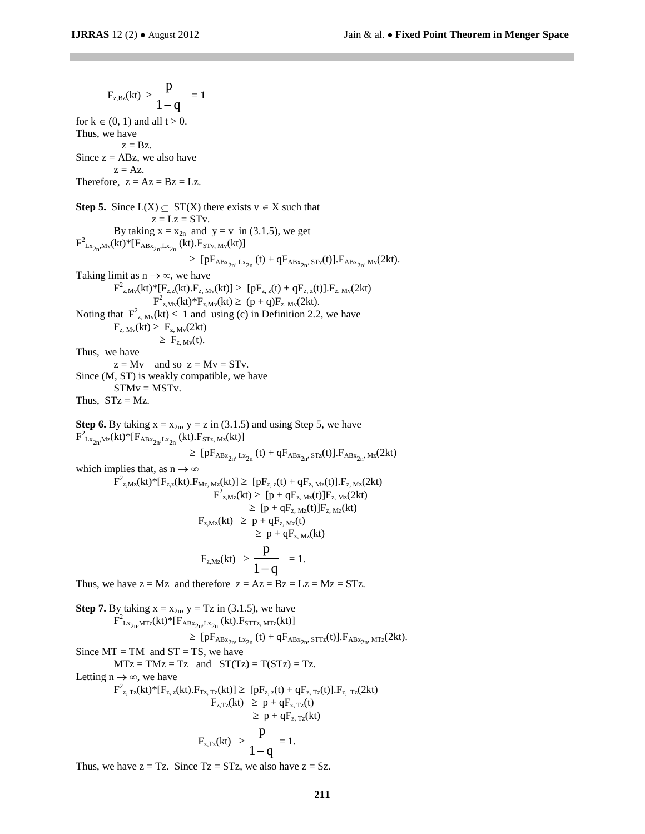$F_{z,Bz}(kt) \geq$ p  $\frac{1}{1-q}$  = 1 for  $k \in (0, 1)$  and all  $t > 0$ . Thus, we have  $z = Bz$ . Since  $z = ABz$ , we also have  $z = Az$ . Therefore,  $z = Az = Bz = LZ$ . **Step 5.** Since  $L(X) \subseteq ST(X)$  there exists  $v \in X$  such that  $z = Lz = STv$ . By taking  $x = x_{2n}$  and  $y = v$  in (3.1.5), we get  $F^2_{Lx_{2n},Mv}(kt)^*[F_{ABx_{2n},Lx_{2n}}(kt).F_{STv,Mv}(kt)]$  $\geq [pF_{ABx_{2n}}, Lx_{2n}(t) + qF_{ABx_{2n}}, s_{Tv}(t)].F_{ABx_{2n}}, Mv(2kt).$ Taking limit as  $n \rightarrow \infty$ , we have  $F^2_{z,Mv}(kt)^*[F_{z,z}(kt),F_{z,Mv}(kt)] \geq [pF_{z,z}(t) + qF_{z,z}(t)].F_{z,Mv}(2kt)$ **F**  ${}_{z,M_{V}}^{2}(kt) * F_{z,M_{V}}(kt) \geq (p+q)F_{z,M_{V}}(2kt).$ Noting that  $F^2_{z, Mv}(kt) \le 1$  and using (c) in Definition 2.2, we have  $F_{z, Mv}(kt) \geq F_{z, Mv}(2kt)$  $\geq F_{z, Mv}(t)$ . Thus, we have  $z = Mv$  and so  $z = Mv = STv$ . Since (M, ST) is weakly compatible, we have  $STMv = MSTv$ . Thus,  $STz = Mz$ . **Step 6.** By taking  $x = x_{2n}$ ,  $y = z$  in (3.1.5) and using Step 5, we have  $F^2_{Lx_{2n},Mz}(kt)^*[F_{ABx_{2n},Lx_{2n}}(kt).F_{STz,Mz}(kt)]$  $\geq [pF_{ABx_{2n}}, Lx_{2n}}(t) + qF_{ABx_{2n}}, ST_{z}(t)].F_{ABx_{2n}}, M_{z}(2kt)$ which implies that, as  $n \to \infty$  $F_{z,Mz}^2(kt)^*[F_{z,z}(kt).F_{Mz,Mz}(kt)] \geq [pF_{z,z}(t) + qF_{z,Mz}(t)].F_{z,Mz}(2kt)$  $F_{z, Mz}^{2}(kt) \geq [p + qF_{z, Mz}(t)]F_{z, Mz}(2kt)$  $\geq$  [p + qF<sub>z, Mz</sub>(t)]F<sub>z, Mz</sub>(kt)  $F_{z,Mz}(kt) \geq p + qF_{z,Mz}(t)$  $\geq p + qF_{z, Mz}(kt)$  $F_{z,Mz}(kt) \geq$ p  $\frac{1}{1-q} = 1.$ Thus, we have  $z = Mz$  and therefore  $z = Az = Bz = LZ = Mz = STz$ . **Step 7.** By taking  $x = x_{2n}$ ,  $y = Tz$  in (3.1.5), we have  $\overline{F}_{Lx_{2n}MTz}^2(kt)^*[F_{ABx_{2n}Lx_{2n}}(kt).F_{STTz,MTz}(kt)]$  $\geq [pF_{ABx_{2n}}, Lx_{2n}(t) + qF_{ABx_{2n}}, s_{TTz}(t)].F_{ABx_{2n}}, m_{Tz}(2kt).$ 

Since  $MT = TM$  and  $ST = TS$ , we have  $MTz = TMz = Tz$  and  $ST(Tz) = T(STz) = Tz$ .

Letting  $n \rightarrow \infty$ , we have

$$
F_{z, Tz}^{2}(kt)^{*}[F_{z, z}(kt).F_{Tz, Tz}(kt)] \ge [pF_{z, z}(t) + qF_{z, Tz}(t)].F_{z, Tz}(2kt)
$$
  
\n
$$
F_{z, Tz}(kt) \ge p + qF_{z, Tz}(t)
$$
  
\n
$$
\ge p + qF_{z, Tz}(kt)
$$
  
\n
$$
F_{z, Tz}(kt) \ge \frac{p}{4} = 1.
$$

 $1 - q$ 

Thus, we have  $z = Tz$ . Since  $Tz = STz$ , we also have  $z = Sz$ .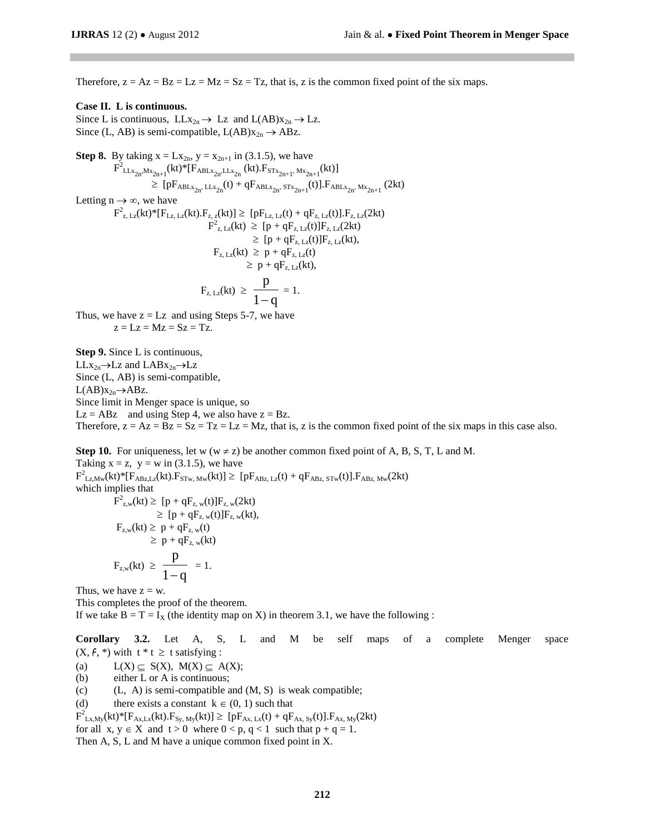Therefore,  $z = Az = Bz = Lz = Mz = Sz = Tz$ , that is, z is the common fixed point of the six maps.

#### **Case II. L is continuous.**

Since L is continuous,  $LLx_{2n} \rightarrow Lz$  and  $L(AB)x_{2n} \rightarrow Lz$ . Since (L, AB) is semi-compatible,  $L(AB)x_{2n} \rightarrow ABz$ .

Step 8. By taking 
$$
x = Lx_{2n}
$$
,  $y = x_{2n+1}$  in (3.1.5), we have  
\n
$$
F^{2}{}_{LLx_{2n}{}^{,Mx_{2n+1}}}(kt)^{*}[F_{ABLx_{2n}{}^{,LLx_{2n}}}(kt).F_{STx_{2n+1}{}^{,Mx_{2n+1}}}(kt)]
$$
\n
$$
\geq [pF_{ABLx_{2n}{}^{,LLx_{2n}}}(t) + qF_{ABLx_{2n}{}^{,STx_{2n+1}}}(t)].F_{ABLx_{2n}{}^{,Mx_{2n+1}}}(2kt)
$$

Letting  $n \to \infty$ , we have

$$
\begin{aligned} F^2_{z,\,Lz}(kt)^*[F_{Lz,\,Lz}(kt).F_{z,\,z}(kt)] & \geq \; [pF_{Lz,\,Lz}(t) + qF_{z,\,Lz}(t)].F_{z,\,Lz}(2kt) \\ F^2_{z,\,Lz}(kt) & \geq \; [p + qF_{z,\,Lz}(t)]F_{z,\,Lz}(2kt) \\ & \geq \; [p + qF_{z,\,Lz}(t)]F_{z,\,Lz}(kt), \\ F_{z,\,Lz}(kt) & \geq \; p + qF_{z,\,Lz}(t) \\ & \geq \; p + qF_{z,\,Lz}(kt), \\ F_{z,\,Lz}(kt) & \geq \; \frac{p}{1-q} = 1. \end{aligned}
$$

Thus, we have  $z = Lz$  and using Steps 5-7, we have  $z = Lz = Mz = Sz = Tz$ .

**Step 9.** Since L is continuous,  $LLx_{2n}\rightarrow Lz$  and  $LABx_{2n}\rightarrow Lz$ Since (L, AB) is semi-compatible,  $L(AB)x_{2n} \rightarrow ABz.$ Since limit in Menger space is unique, so  $Lz = ABz$  and using Step 4, we also have  $z = Bz$ . Therefore,  $z = Az = Bz = Sz = Tz = Lz = Mz$ , that is, z is the common fixed point of the six maps in this case also.

**Step 10.** For uniqueness, let w ( $w \neq z$ ) be another common fixed point of A, B, S, T, L and M. Taking  $x = z$ ,  $y = w$  in (3.1.5), we have  $F^2_{Lz,Mw}(kt)^*[F_{ABz,Lz}(kt).F_{STw,Mw}(kt)] \geq [pF_{ABz,Lz}(t) + qF_{ABz,STw}(t)].F_{ABz,Mw}(2kt)$ which implies that  $F_{z,w}^2(kt) \geq [p + qF_{z,w}(t)]F_{z,w}(2kt)$ 

$$
F_{z,w}(kt) \ge [p + qF_{z,w}(t)]F_{z,w}(2kt)
$$
  
\n
$$
\ge [p + qF_{z,w}(t)]F_{z,w}(kt),
$$
  
\n
$$
F_{z,w}(kt) \ge p + qF_{z,w}(t)
$$
  
\n
$$
\ge p + qF_{z,w}(kt)
$$
  
\n
$$
F_{z,w}(kt) \ge \frac{p}{1-q} = 1.
$$

Thus, we have  $z = w$ .

This completes the proof of the theorem. If we take  $B = T = I_X$  (the identity map on X) in theorem 3.1, we have the following :

**Corollary 3.2.** Let A, S, L and M be self maps of a complete Menger space  $(X, f, *)$  with  $t * t \geq t$  satisfying :

(a)  $L(X) \subseteq S(X)$ ,  $M(X) \subseteq A(X)$ ;

- (b) either L or A is continuous;
- (c)  $(L, A)$  is semi-compatible and  $(M, S)$  is weak compatible;
- (d) there exists a constant  $k \in (0, 1)$  such that

 $F^2_{Lx,My}(kt)^*[F_{Ax,Lx}(kt).F_{Sy,My}(kt)] \geq [pF_{Ax,Lx}(t) + qF_{Ax, Sy}(t)].F_{Ax,My}(2kt)$ 

for all  $x, y \in X$  and  $t > 0$  where  $0 < p, q < 1$  such that  $p + q = 1$ .

Then A, S, L and M have a unique common fixed point in X.